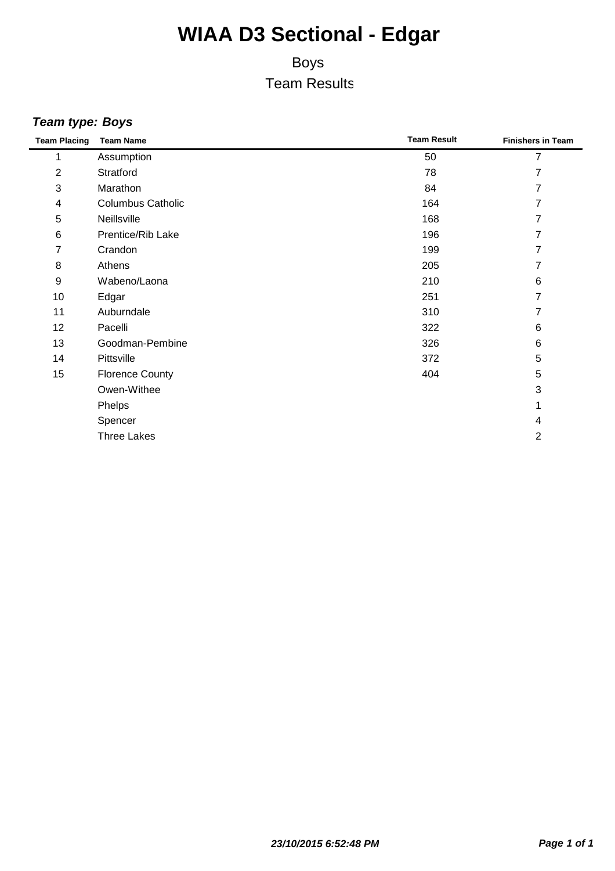### Boys Team Results

#### *Team type: Boys*

| <b>Team Placing</b> | <b>Team Name</b>         | <b>Team Result</b> | <b>Finishers in Team</b> |
|---------------------|--------------------------|--------------------|--------------------------|
| 1                   | Assumption               | 50                 | 7                        |
| $\overline{2}$      | Stratford                | 78                 | 7                        |
| 3                   | Marathon                 | 84                 | 7                        |
| 4                   | <b>Columbus Catholic</b> | 164                | 7                        |
| 5                   | Neillsville              | 168                | 7                        |
| $\,6$               | Prentice/Rib Lake        | 196                | 7                        |
| 7                   | Crandon                  | 199                | 7                        |
| 8                   | Athens                   | 205                | 7                        |
| 9                   | Wabeno/Laona             | 210                | 6                        |
| 10                  | Edgar                    | 251                | 7                        |
| 11                  | Auburndale               | 310                | 7                        |
| 12                  | Pacelli                  | 322                | 6                        |
| 13                  | Goodman-Pembine          | 326                | 6                        |
| 14                  | Pittsville               | 372                | 5                        |
| 15                  | <b>Florence County</b>   | 404                | 5                        |
|                     | Owen-Withee              |                    | 3                        |
|                     | Phelps                   |                    | 1                        |
|                     | Spencer                  |                    | 4                        |
|                     | <b>Three Lakes</b>       |                    | 2                        |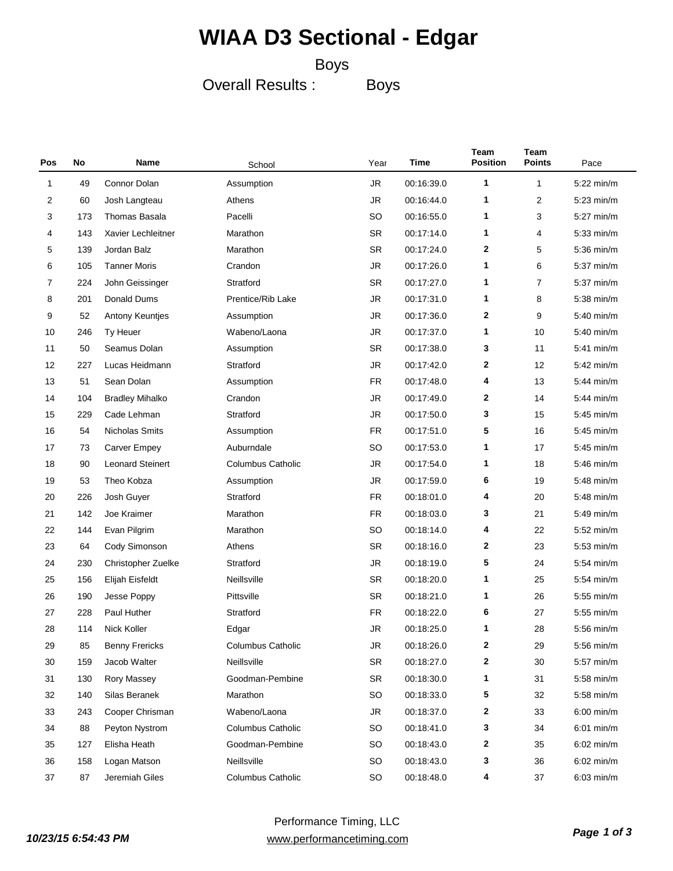#### Boys

Overall Results :

Boys

| Pos | No  | Name                    | School                   | Year      | Time       | Team<br><b>Position</b> | Team<br><b>Points</b> | Pace         |
|-----|-----|-------------------------|--------------------------|-----------|------------|-------------------------|-----------------------|--------------|
| 1   | 49  | Connor Dolan            | Assumption               | <b>JR</b> | 00:16:39.0 | 1                       | 1                     | $5:22$ min/m |
| 2   | 60  | Josh Langteau           | Athens                   | <b>JR</b> | 00:16:44.0 | 1                       | 2                     | $5:23$ min/m |
| 3   | 173 | Thomas Basala           | Pacelli                  | <b>SO</b> | 00:16:55.0 | 1                       | 3                     | $5:27$ min/m |
| 4   | 143 | Xavier Lechleitner      | Marathon                 | <b>SR</b> | 00:17:14.0 | 1                       | 4                     | $5:33$ min/m |
| 5   | 139 | Jordan Balz             | Marathon                 | <b>SR</b> | 00:17:24.0 | $\mathbf{2}$            | 5                     | $5:36$ min/m |
| 6   | 105 | <b>Tanner Moris</b>     | Crandon                  | <b>JR</b> | 00:17:26.0 | 1                       | 6                     | $5:37$ min/m |
| 7   | 224 | John Geissinger         | Stratford                | <b>SR</b> | 00:17:27.0 | 1                       | 7                     | $5:37$ min/m |
| 8   | 201 | Donald Dums             | Prentice/Rib Lake        | <b>JR</b> | 00:17:31.0 | 1                       | 8                     | $5:38$ min/m |
| 9   | 52  | Antony Keuntjes         | Assumption               | <b>JR</b> | 00:17:36.0 | $\mathbf{2}$            | 9                     | $5:40$ min/m |
| 10  | 246 | Ty Heuer                | Wabeno/Laona             | <b>JR</b> | 00:17:37.0 | 1                       | 10                    | $5:40$ min/m |
| 11  | 50  | Seamus Dolan            | Assumption               | <b>SR</b> | 00:17:38.0 | 3                       | 11                    | $5:41$ min/m |
| 12  | 227 | Lucas Heidmann          | Stratford                | <b>JR</b> | 00:17:42.0 | $\mathbf{2}$            | 12                    | $5:42$ min/m |
| 13  | 51  | Sean Dolan              | Assumption               | <b>FR</b> | 00:17:48.0 | 4                       | 13                    | $5:44$ min/m |
| 14  | 104 | <b>Bradley Mihalko</b>  | Crandon                  | <b>JR</b> | 00:17:49.0 | $\mathbf{2}$            | 14                    | $5:44$ min/m |
| 15  | 229 | Cade Lehman             | Stratford                | <b>JR</b> | 00:17:50.0 | 3                       | 15                    | $5:45$ min/m |
| 16  | 54  | <b>Nicholas Smits</b>   | Assumption               | <b>FR</b> | 00:17:51.0 | 5                       | 16                    | $5:45$ min/m |
| 17  | 73  | <b>Carver Empey</b>     | Auburndale               | SO        | 00:17:53.0 | 1                       | 17                    | $5:45$ min/m |
| 18  | 90  | <b>Leonard Steinert</b> | <b>Columbus Catholic</b> | JR        | 00:17:54.0 | 1                       | 18                    | $5:46$ min/m |
| 19  | 53  | Theo Kobza              | Assumption               | <b>JR</b> | 00:17:59.0 | 6                       | 19                    | $5:48$ min/m |
| 20  | 226 | Josh Guyer              | Stratford                | <b>FR</b> | 00:18:01.0 | 4                       | 20                    | $5:48$ min/m |
| 21  | 142 | Joe Kraimer             | Marathon                 | <b>FR</b> | 00:18:03.0 | 3                       | 21                    | $5:49$ min/m |
| 22  | 144 | Evan Pilgrim            | Marathon                 | SO        | 00:18:14.0 | 4                       | 22                    | $5:52$ min/m |
| 23  | 64  | Cody Simonson           | Athens                   | <b>SR</b> | 00:18:16.0 | $\mathbf{2}$            | 23                    | $5:53$ min/m |
| 24  | 230 | Christopher Zuelke      | Stratford                | <b>JR</b> | 00:18:19.0 | 5                       | 24                    | $5:54$ min/m |
| 25  | 156 | Elijah Eisfeldt         | Neillsville              | <b>SR</b> | 00:18:20.0 | 1                       | 25                    | $5:54$ min/m |
| 26  | 190 | Jesse Poppy             | Pittsville               | <b>SR</b> | 00:18:21.0 | 1                       | 26                    | $5:55$ min/m |
| 27  | 228 | Paul Huther             | Stratford                | FR        | 00:18:22.0 | 6                       | 27                    | $5:55$ min/m |
| 28  | 114 | Nick Koller             | Edgar                    | JR        | 00:18:25.0 | 1                       | 28                    | $5:56$ min/m |
| 29  | 85  | <b>Benny Frericks</b>   | Columbus Catholic        | JR        | 00:18:26.0 | 2                       | 29                    | 5:56 min/m   |
| 30  | 159 | Jacob Walter            | Neillsville              | SR        | 00:18:27.0 | 2                       | 30                    | $5:57$ min/m |
| 31  | 130 | Rory Massey             | Goodman-Pembine          | SR        | 00:18:30.0 | 1                       | 31                    | $5:58$ min/m |
| 32  | 140 | Silas Beranek           | Marathon                 | SO        | 00:18:33.0 | 5                       | 32                    | $5:58$ min/m |
| 33  | 243 | Cooper Chrisman         | Wabeno/Laona             | <b>JR</b> | 00:18:37.0 | 2                       | 33                    | $6:00$ min/m |
| 34  | 88  | Peyton Nystrom          | <b>Columbus Catholic</b> | SO        | 00:18:41.0 | 3                       | 34                    | $6:01$ min/m |
| 35  | 127 | Elisha Heath            | Goodman-Pembine          | SO        | 00:18:43.0 | 2                       | 35                    | $6:02$ min/m |
| 36  | 158 | Logan Matson            | Neillsville              | SO        | 00:18:43.0 | 3                       | 36                    | $6:02$ min/m |
| 37  | 87  | Jeremiah Giles          | Columbus Catholic        | SO        | 00:18:48.0 | 4                       | 37                    | $6:03$ min/m |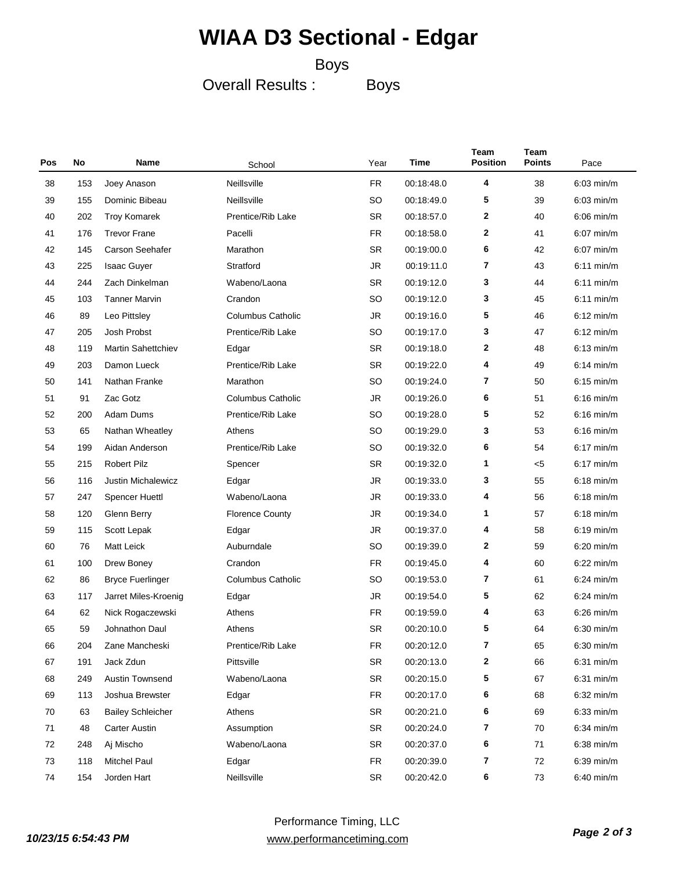#### Boys

Overall Results :

Boys

| Pos | No  | Name                      | School                   | Year      | Time       | Team<br><b>Position</b> | Team<br><b>Points</b> | Pace         |
|-----|-----|---------------------------|--------------------------|-----------|------------|-------------------------|-----------------------|--------------|
| 38  | 153 | Joey Anason               | Neillsville              | <b>FR</b> | 00:18:48.0 | 4                       | 38                    | $6:03$ min/m |
| 39  | 155 | Dominic Bibeau            | Neillsville              | <b>SO</b> | 00:18:49.0 | 5                       | 39                    | $6:03$ min/m |
| 40  | 202 | <b>Troy Komarek</b>       | Prentice/Rib Lake        | <b>SR</b> | 00:18:57.0 | 2                       | 40                    | $6:06$ min/m |
| 41  | 176 | <b>Trevor Frane</b>       | Pacelli                  | <b>FR</b> | 00:18:58.0 | 2                       | 41                    | $6:07$ min/m |
| 42  | 145 | Carson Seehafer           | Marathon                 | <b>SR</b> | 00:19:00.0 | 6                       | 42                    | $6:07$ min/m |
| 43  | 225 | <b>Isaac Guyer</b>        | Stratford                | <b>JR</b> | 00:19:11.0 | 7                       | 43                    | $6:11$ min/m |
| 44  | 244 | Zach Dinkelman            | Wabeno/Laona             | <b>SR</b> | 00:19:12.0 | 3                       | 44                    | $6:11$ min/m |
| 45  | 103 | <b>Tanner Marvin</b>      | Crandon                  | <b>SO</b> | 00:19:12.0 | 3                       | 45                    | $6:11$ min/m |
| 46  | 89  | Leo Pittsley              | <b>Columbus Catholic</b> | <b>JR</b> | 00:19:16.0 | 5                       | 46                    | $6:12$ min/m |
| 47  | 205 | Josh Probst               | Prentice/Rib Lake        | SO        | 00:19:17.0 | 3                       | 47                    | $6:12$ min/m |
| 48  | 119 | Martin Sahettchiev        | Edgar                    | <b>SR</b> | 00:19:18.0 | 2                       | 48                    | $6:13$ min/m |
| 49  | 203 | Damon Lueck               | Prentice/Rib Lake        | <b>SR</b> | 00:19:22.0 | 4                       | 49                    | $6:14$ min/m |
| 50  | 141 | Nathan Franke             | Marathon                 | SO        | 00:19:24.0 | 7                       | 50                    | $6:15$ min/m |
| 51  | 91  | Zac Gotz                  | <b>Columbus Catholic</b> | JR        | 00:19:26.0 | 6                       | 51                    | $6:16$ min/m |
| 52  | 200 | Adam Dums                 | Prentice/Rib Lake        | <b>SO</b> | 00:19:28.0 | 5                       | 52                    | $6:16$ min/m |
| 53  | 65  | Nathan Wheatley           | Athens                   | <b>SO</b> | 00:19:29.0 | 3                       | 53                    | $6:16$ min/m |
| 54  | 199 | Aidan Anderson            | Prentice/Rib Lake        | <b>SO</b> | 00:19:32.0 | 6                       | 54                    | $6:17$ min/m |
| 55  | 215 | <b>Robert Pilz</b>        | Spencer                  | <b>SR</b> | 00:19:32.0 | 1                       | < 5                   | $6:17$ min/m |
| 56  | 116 | <b>Justin Michalewicz</b> | Edgar                    | JR        | 00:19:33.0 | 3                       | 55                    | $6:18$ min/m |
| 57  | 247 | Spencer Huettl            | Wabeno/Laona             | JR        | 00:19:33.0 | 4                       | 56                    | $6:18$ min/m |
| 58  | 120 | Glenn Berry               | <b>Florence County</b>   | JR        | 00:19:34.0 | 1                       | 57                    | $6:18$ min/m |
| 59  | 115 | Scott Lepak               | Edgar                    | JR        | 00:19:37.0 | 4                       | 58                    | $6:19$ min/m |
| 60  | 76  | Matt Leick                | Auburndale               | SO        | 00:19:39.0 | 2                       | 59                    | 6:20 min/m   |
| 61  | 100 | Drew Boney                | Crandon                  | <b>FR</b> | 00:19:45.0 | 4                       | 60                    | $6:22$ min/m |
| 62  | 86  | <b>Bryce Fuerlinger</b>   | <b>Columbus Catholic</b> | SO        | 00:19:53.0 | 7                       | 61                    | $6:24$ min/m |
| 63  | 117 | Jarret Miles-Kroenig      | Edgar                    | JR        | 00:19:54.0 | 5                       | 62                    | $6:24$ min/m |
| 64  | 62  | Nick Rogaczewski          | Athens                   | <b>FR</b> | 00:19:59.0 | 4                       | 63                    | $6:26$ min/m |
| 65  | 59  | Johnathon Daul            | Athens                   | <b>SR</b> | 00:20:10.0 | 5                       | 64                    | $6:30$ min/m |
| 66  | 204 | Zane Mancheski            | Prentice/Rib Lake        | FR        | 00:20:12.0 | 7                       | 65                    | 6:30 min/m   |
| 67  | 191 | Jack Zdun                 | Pittsville               | SR        | 00:20:13.0 | 2                       | 66                    | $6:31$ min/m |
| 68  | 249 | Austin Townsend           | Wabeno/Laona             | SR        | 00:20:15.0 | 5                       | 67                    | $6:31$ min/m |
| 69  | 113 | Joshua Brewster           | Edgar                    | <b>FR</b> | 00:20:17.0 | 6                       | 68                    | $6:32$ min/m |
| 70  | 63  | <b>Bailey Schleicher</b>  | Athens                   | SR        | 00:20:21.0 | 6                       | 69                    | $6:33$ min/m |
| 71  | 48  | <b>Carter Austin</b>      | Assumption               | SR        | 00:20:24.0 | 7                       | 70                    | $6:34$ min/m |
| 72  | 248 | Aj Mischo                 | Wabeno/Laona             | SR        | 00:20:37.0 | 6                       | 71                    | $6:38$ min/m |
| 73  | 118 | <b>Mitchel Paul</b>       | Edgar                    | <b>FR</b> | 00:20:39.0 | 7                       | 72                    | $6:39$ min/m |
| 74  | 154 | Jorden Hart               | Neillsville              | SR        | 00:20:42.0 | 6                       | 73                    | 6:40 min/m   |